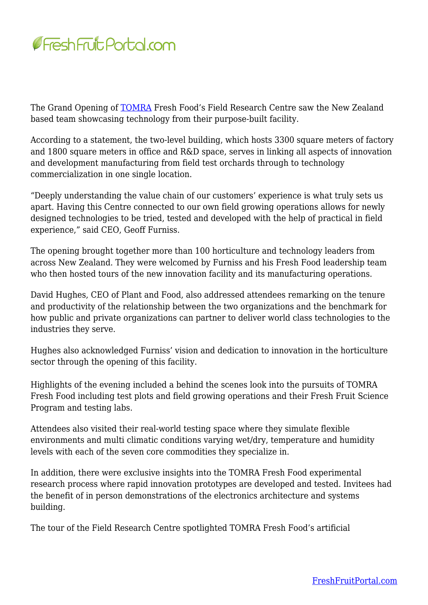

The Grand Opening of [TOMRA](https://www.tomra.com/en/) Fresh Food's Field Research Centre saw the New Zealand based team showcasing technology from their purpose-built facility.

According to a statement, the two-level building, which hosts 3300 square meters of factory and 1800 square meters in office and R&D space, serves in linking all aspects of innovation and development manufacturing from field test orchards through to technology commercialization in one single location.

"Deeply understanding the value chain of our customers' experience is what truly sets us apart. Having this Centre connected to our own field growing operations allows for newly designed technologies to be tried, tested and developed with the help of practical in field experience," said CEO, Geoff Furniss.

The opening brought together more than 100 horticulture and technology leaders from across New Zealand. They were welcomed by Furniss and his Fresh Food leadership team who then hosted tours of the new innovation facility and its manufacturing operations.

David Hughes, CEO of Plant and Food, also addressed attendees remarking on the tenure and productivity of the relationship between the two organizations and the benchmark for how public and private organizations can partner to deliver world class technologies to the industries they serve.

Hughes also acknowledged Furniss' vision and dedication to innovation in the horticulture sector through the opening of this facility.

Highlights of the evening included a behind the scenes look into the pursuits of TOMRA Fresh Food including test plots and field growing operations and their Fresh Fruit Science Program and testing labs.

Attendees also visited their real-world testing space where they simulate flexible environments and multi climatic conditions varying wet/dry, temperature and humidity levels with each of the seven core commodities they specialize in.

In addition, there were exclusive insights into the TOMRA Fresh Food experimental research process where rapid innovation prototypes are developed and tested. Invitees had the benefit of in person demonstrations of the electronics architecture and systems building.

The tour of the Field Research Centre spotlighted TOMRA Fresh Food's artificial